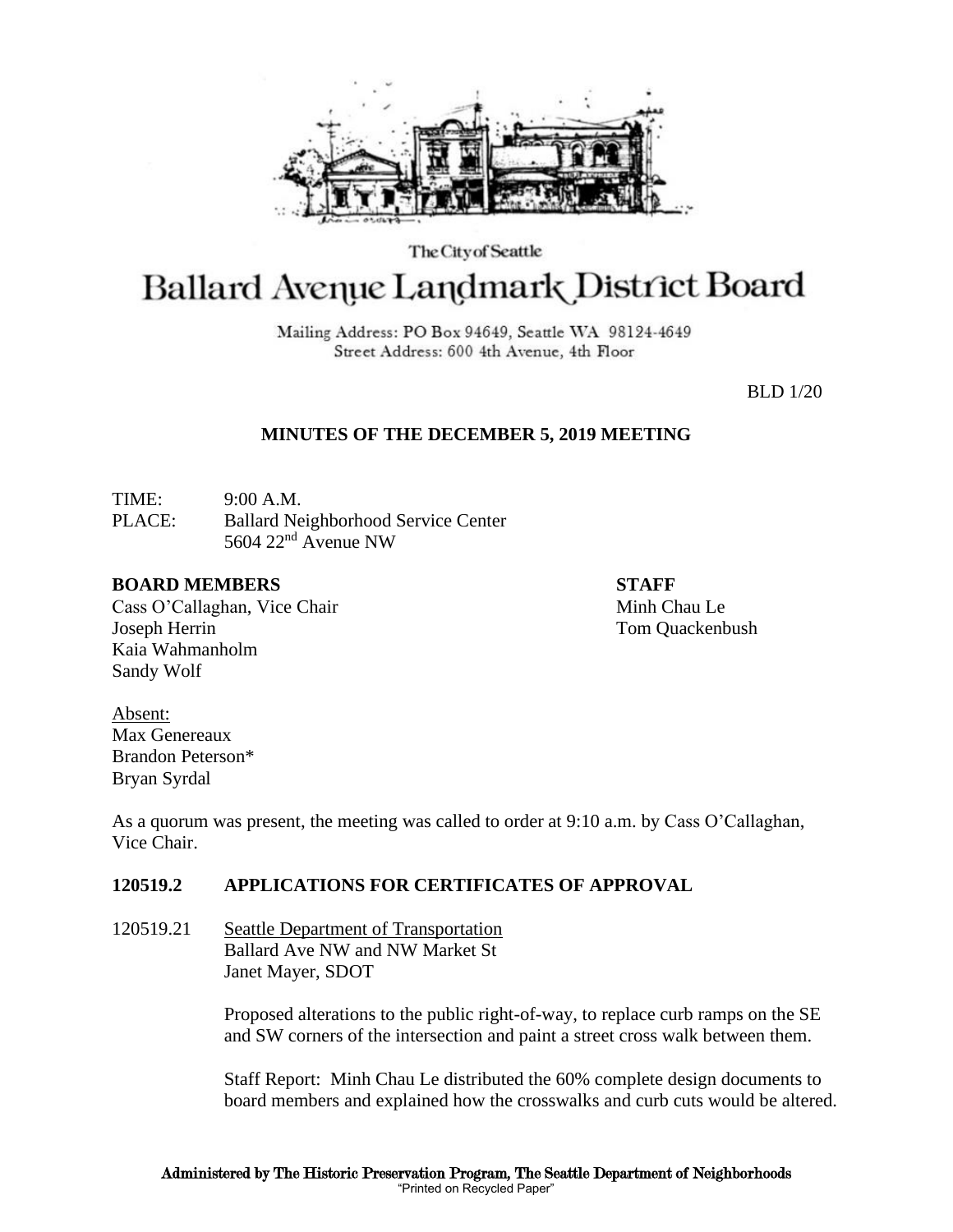

The City of Seattle

# Ballard Avenue Landmark District Board

Mailing Address: PO Box 94649, Seattle WA 98124-4649 Street Address: 600 4th Avenue, 4th Floor

BLD 1/20

## **MINUTES OF THE DECEMBER 5, 2019 MEETING**

TIME: 9:00 A.M. PLACE: Ballard Neighborhood Service Center 5604 22nd Avenue NW

#### **BOARD MEMBERS STAFF**

Cass O'Callaghan, Vice Chair Minh Chau Le Joseph Herrin Tom Quackenbush Kaia Wahmanholm Sandy Wolf

Absent: Max Genereaux Brandon Peterson\* Bryan Syrdal

As a quorum was present, the meeting was called to order at 9:10 a.m. by Cass O'Callaghan, Vice Chair.

## **120519.2 APPLICATIONS FOR CERTIFICATES OF APPROVAL**

120519.21 Seattle Department of Transportation Ballard Ave NW and NW Market St Janet Mayer, SDOT

> Proposed alterations to the public right-of-way, to replace curb ramps on the SE and SW corners of the intersection and paint a street cross walk between them.

Staff Report: Minh Chau Le distributed the 60% complete design documents to board members and explained how the crosswalks and curb cuts would be altered.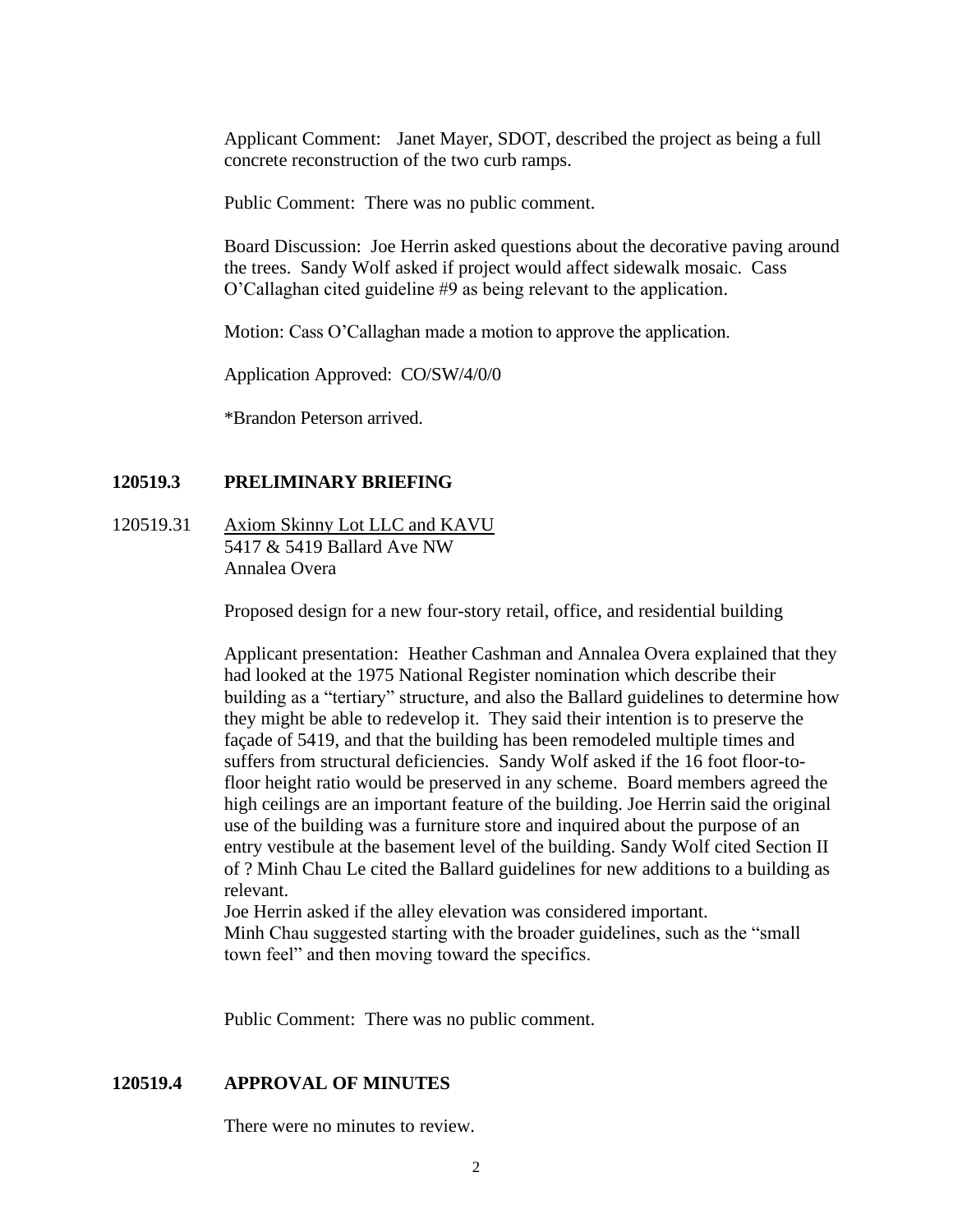Applicant Comment: Janet Mayer, SDOT, described the project as being a full concrete reconstruction of the two curb ramps.

Public Comment: There was no public comment.

Board Discussion: Joe Herrin asked questions about the decorative paving around the trees. Sandy Wolf asked if project would affect sidewalk mosaic. Cass O'Callaghan cited guideline #9 as being relevant to the application.

Motion: Cass O'Callaghan made a motion to approve the application.

Application Approved: CO/SW/4/0/0

\*Brandon Peterson arrived.

#### **120519.3 PRELIMINARY BRIEFING**

120519.31 Axiom Skinny Lot LLC and KAVU 5417 & 5419 Ballard Ave NW Annalea Overa

Proposed design for a new four-story retail, office, and residential building

Applicant presentation: Heather Cashman and Annalea Overa explained that they had looked at the 1975 National Register nomination which describe their building as a "tertiary" structure, and also the Ballard guidelines to determine how they might be able to redevelop it. They said their intention is to preserve the façade of 5419, and that the building has been remodeled multiple times and suffers from structural deficiencies. Sandy Wolf asked if the 16 foot floor-tofloor height ratio would be preserved in any scheme. Board members agreed the high ceilings are an important feature of the building. Joe Herrin said the original use of the building was a furniture store and inquired about the purpose of an entry vestibule at the basement level of the building. Sandy Wolf cited Section II of ? Minh Chau Le cited the Ballard guidelines for new additions to a building as relevant.

Joe Herrin asked if the alley elevation was considered important. Minh Chau suggested starting with the broader guidelines, such as the "small town feel" and then moving toward the specifics.

Public Comment: There was no public comment.

#### **120519.4 APPROVAL OF MINUTES**

There were no minutes to review.